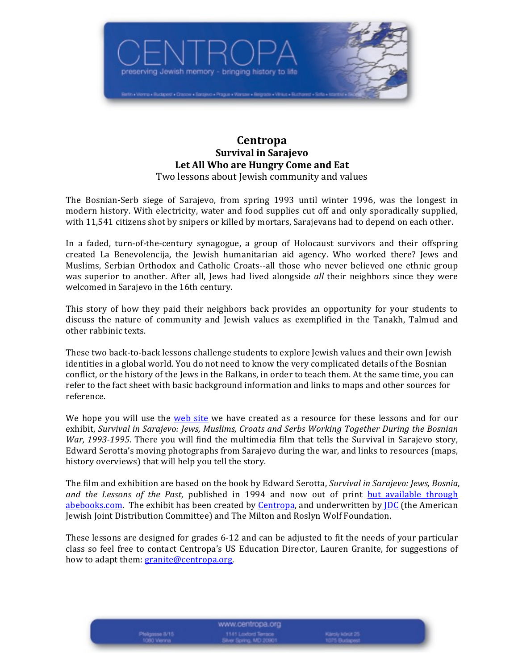

# **Centropa Survival in Sarajevo** Let All Who are Hungry Come and Eat Two lessons about Jewish community and values

The Bosnian-Serb siege of Sarajevo, from spring 1993 until winter 1996, was the longest in modern history. With electricity, water and food supplies cut off and only sporadically supplied, with 11,541 citizens shot by snipers or killed by mortars, Sarajevans had to depend on each other.

In a faded, turn-of-the-century synagogue, a group of Holocaust survivors and their offspring created La Benevolencija, the Jewish humanitarian aid agency. Who worked there? Jews and Muslims, Serbian Orthodox and Catholic Croats--all those who never believed one ethnic group was superior to another. After all, Jews had lived alongside *all* their neighbors since they were welcomed in Sarajevo in the 16th century.

This story of how they paid their neighbors back provides an opportunity for your students to discuss the nature of community and Jewish values as exemplified in the Tanakh, Talmud and other rabbinic texts.

These two back-to-back lessons challenge students to explore Jewish values and their own Jewish identities in a global world. You do not need to know the very complicated details of the Bosnian conflict, or the history of the Jews in the Balkans, in order to teach them. At the same time, you can refer to the fact sheet with basic background information and links to maps and other sources for reference. 

We hope you will use the web site we have created as a resource for these lessons and for our exhibit, *Survival in Sarajevo: Jews, Muslims, Croats and Serbs Working Together During the Bosnian War,* 1993-1995. There you will find the multimedia film that tells the Survival in Sarajevo story, Edward Serotta's moving photographs from Sarajevo during the war, and links to resources (maps, history overviews) that will help you tell the story.

The film and exhibition are based on the book by Edward Serotta, *Survival in Sarajevo: Jews, Bosnia*, *and* the Lessons of the Past, published in 1994 and now out of print but available through abebooks.com. The exhibit has been created by Centropa, and underwritten by **JDC** (the American Jewish Joint Distribution Committee) and The Milton and Roslyn Wolf Foundation.

These lessons are designed for grades 6-12 and can be adjusted to fit the needs of your particular class so feel free to contact Centropa's US Education Director, Lauren Granite, for suggestions of how to adapt them: granite@centropa.org.

> www.centropa.org 1141 Loxford Terrace<br>Ilver Spring, MD 20901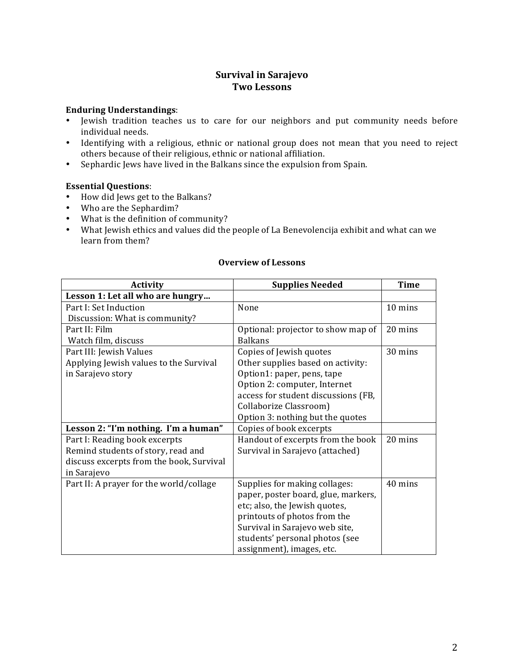# **Survival in Sarajevo Two Lessons**

### **Enduring Understandings**:

- Jewish tradition teaches us to care for our neighbors and put community needs before individual needs.
- Identifying with a religious, ethnic or national group does not mean that you need to reject others because of their religious, ethnic or national affiliation.
- Sephardic Jews have lived in the Balkans since the expulsion from Spain.

## **Essential Questions**:

- How did Jews get to the Balkans?
- Who are the Sephardim?
- What is the definition of community?
- What Jewish ethics and values did the people of La Benevolencija exhibit and what can we learn from them?

| <b>Activity</b>                          | <b>Supplies Needed</b>              | <b>Time</b> |
|------------------------------------------|-------------------------------------|-------------|
| Lesson 1: Let all who are hungry         |                                     |             |
| Part I: Set Induction                    | None                                | 10 mins     |
| Discussion: What is community?           |                                     |             |
| Part II: Film                            | Optional: projector to show map of  | 20 mins     |
| Watch film, discuss                      | <b>Balkans</b>                      |             |
| Part III: Jewish Values                  | Copies of Jewish quotes             | 30 mins     |
| Applying Jewish values to the Survival   | Other supplies based on activity:   |             |
| in Sarajevo story                        | Option1: paper, pens, tape          |             |
|                                          | Option 2: computer, Internet        |             |
|                                          | access for student discussions (FB, |             |
|                                          | Collaborize Classroom)              |             |
|                                          | Option 3: nothing but the quotes    |             |
| Lesson 2: "I'm nothing. I'm a human"     | Copies of book excerpts             |             |
| Part I: Reading book excerpts            | Handout of excerpts from the book   | 20 mins     |
| Remind students of story, read and       | Survival in Sarajevo (attached)     |             |
| discuss excerpts from the book, Survival |                                     |             |
| in Sarajevo                              |                                     |             |
| Part II: A prayer for the world/collage  | Supplies for making collages:       | 40 mins     |
|                                          | paper, poster board, glue, markers, |             |
|                                          | etc; also, the Jewish quotes,       |             |
|                                          | printouts of photos from the        |             |
|                                          | Survival in Sarajevo web site,      |             |
|                                          | students' personal photos (see      |             |
|                                          | assignment), images, etc.           |             |

## **Overview of Lessons**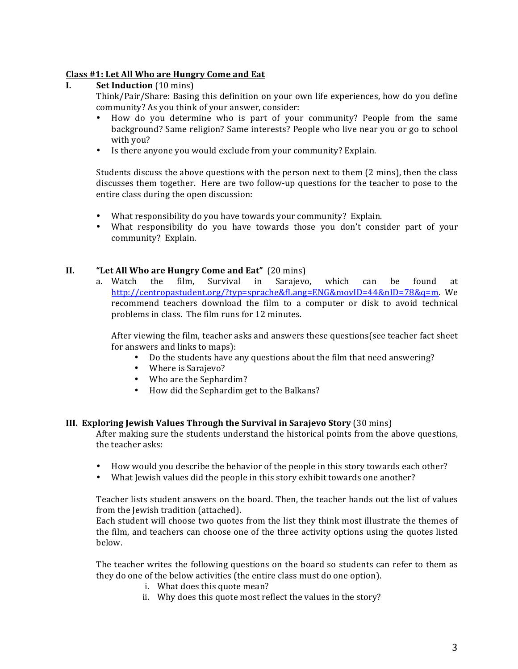# **Class #1: Let All Who are Hungry Come and Eat**

# **I.** Set Induction (10 mins)

Think/Pair/Share: Basing this definition on your own life experiences, how do you define community? As you think of your answer, consider:

- How do you determine who is part of your community? People from the same background? Same religion? Same interests? People who live near you or go to school with you?
- Is there anyone you would exclude from your community? Explain.

Students discuss the above questions with the person next to them  $(2 \text{ mins})$ , then the class discusses them together. Here are two follow-up questions for the teacher to pose to the entire class during the open discussion:

- What responsibility do you have towards your community? Explain.
- What responsibility do you have towards those you don't consider part of your community? Explain.

#### **II. "Let All Who are Hungry Come and Eat"** (20 mins)

a. Watch the film, Survival in Sarajevo, which can be found at http://centropastudent.org/?typ=sprache&fLang=ENG&movID=44&nID=78&q=m. We recommend teachers download the film to a computer or disk to avoid technical problems in class. The film runs for 12 minutes.

After viewing the film, teacher asks and answers these questions (see teacher fact sheet for answers and links to maps):

- Do the students have any questions about the film that need answering?
- Where is Sarajevo?
- Who are the Sephardim?
- How did the Sephardim get to the Balkans?

#### **III.** Exploring Jewish Values Through the Survival in Sarajevo Story (30 mins)

After making sure the students understand the historical points from the above questions, the teacher asks:

- How would you describe the behavior of the people in this story towards each other?
- What Jewish values did the people in this story exhibit towards one another?

Teacher lists student answers on the board. Then, the teacher hands out the list of values from the Jewish tradition (attached).

Each student will choose two quotes from the list they think most illustrate the themes of the film, and teachers can choose one of the three activity options using the quotes listed below. 

The teacher writes the following questions on the board so students can refer to them as they do one of the below activities (the entire class must do one option).

- i. What does this quote mean?
- ii. Why does this quote most reflect the values in the story?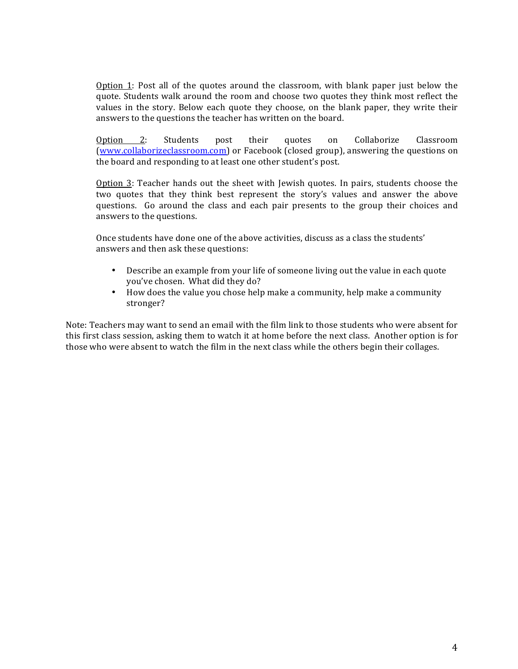Option 1: Post all of the quotes around the classroom, with blank paper just below the quote. Students walk around the room and choose two quotes they think most reflect the values in the story. Below each quote they choose, on the blank paper, they write their answers to the questions the teacher has written on the board.

Option 2: Students post their quotes on Collaborize Classroom (www.collaborizeclassroom.com) or Facebook (closed group), answering the questions on the board and responding to at least one other student's post.

Option  $3$ : Teacher hands out the sheet with Jewish quotes. In pairs, students choose the two quotes that they think best represent the story's values and answer the above questions. Go around the class and each pair presents to the group their choices and answers to the questions.

Once students have done one of the above activities, discuss as a class the students' answers and then ask these questions:

- Describe an example from your life of someone living out the value in each quote you've chosen. What did they do?
- How does the value you chose help make a community, help make a community stronger?

Note: Teachers may want to send an email with the film link to those students who were absent for this first class session, asking them to watch it at home before the next class. Another option is for those who were absent to watch the film in the next class while the others begin their collages.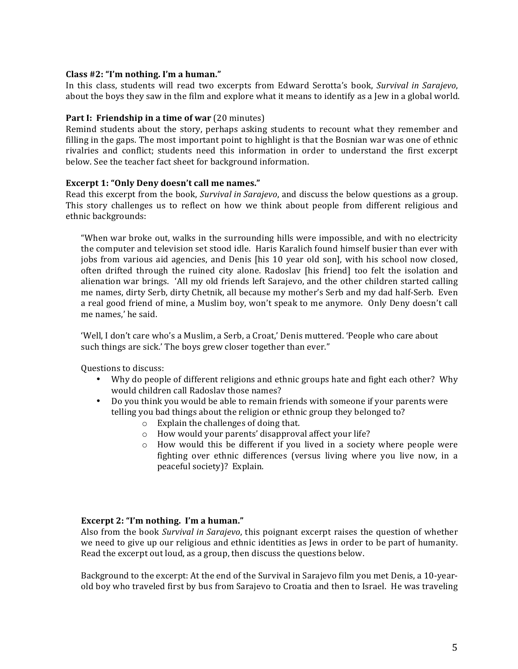## **Class #2: "I'm nothing. I'm a human."**

In this class, students will read two excerpts from Edward Serotta's book, *Survival in Sarajevo*, about the boys they saw in the film and explore what it means to identify as a Jew in a global world.

### **Part I: Friendship in a time of war** (20 minutes)

Remind students about the story, perhaps asking students to recount what they remember and filling in the gaps. The most important point to highlight is that the Bosnian war was one of ethnic rivalries and conflict; students need this information in order to understand the first excerpt below. See the teacher fact sheet for background information.

## **Excerpt 1: "Only Deny doesn't call me names."**

Read this excerpt from the book, *Survival in Sarajevo*, and discuss the below questions as a group. This story challenges us to reflect on how we think about people from different religious and ethnic backgrounds:

"When war broke out, walks in the surrounding hills were impossible, and with no electricity the computer and television set stood idle. Haris Karalich found himself busier than ever with jobs from various aid agencies, and Denis [his 10 year old son], with his school now closed, often drifted through the ruined city alone. Radoslav [his friend] too felt the isolation and alienation war brings. 'All my old friends left Sarajevo, and the other children started calling me names, dirty Serb, dirty Chetnik, all because my mother's Serb and my dad half-Serb. Even a real good friend of mine, a Muslim boy, won't speak to me anymore. Only Deny doesn't call me names,' he said.

'Well, I don't care who's a Muslim, a Serb, a Croat,' Denis muttered. 'People who care about such things are sick.' The boys grew closer together than ever."

Questions to discuss:

- Why do people of different religions and ethnic groups hate and fight each other? Why would children call Radoslav those names?
- Do you think you would be able to remain friends with someone if your parents were telling you bad things about the religion or ethnic group they belonged to?
	- $\circ$  Explain the challenges of doing that.
	- $\circ$  How would your parents' disapproval affect your life?
	- $\circ$  How would this be different if you lived in a society where people were fighting over ethnic differences (versus living where you live now, in a peaceful society)? Explain.

#### **Excerpt 2: "I'm nothing. I'm a human."**

Also from the book *Survival in Sarajevo*, this poignant excerpt raises the question of whether we need to give up our religious and ethnic identities as Jews in order to be part of humanity. Read the excerpt out loud, as a group, then discuss the questions below.

Background to the excerpt: At the end of the Survival in Sarajevo film you met Denis, a 10-yearold boy who traveled first by bus from Sarajevo to Croatia and then to Israel. He was traveling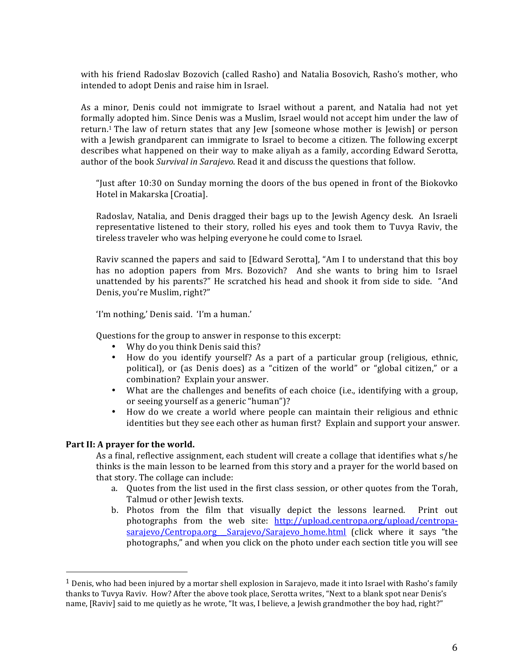with his friend Radoslav Bozovich (called Rasho) and Natalia Bosovich, Rasho's mother, who intended to adopt Denis and raise him in Israel.

As a minor, Denis could not immigrate to Israel without a parent, and Natalia had not yet formally adopted him. Since Denis was a Muslim, Israel would not accept him under the law of return.<sup>1</sup> The law of return states that any Jew [someone whose mother is Jewish] or person with a Jewish grandparent can immigrate to Israel to become a citizen. The following excerpt describes what happened on their way to make aliyah as a family, according Edward Serotta, author of the book *Survival in Sarajevo*. Read it and discuss the questions that follow.

"Just after  $10:30$  on Sunday morning the doors of the bus opened in front of the Biokovko Hotel in Makarska [Croatia].

Radoslav, Natalia, and Denis dragged their bags up to the Jewish Agency desk. An Israeli representative listened to their story, rolled his eyes and took them to Tuvya Raviv, the tireless traveler who was helping everyone he could come to Israel.

Raviv scanned the papers and said to [Edward Serotta], "Am I to understand that this boy has no adoption papers from Mrs. Bozovich? And she wants to bring him to Israel unattended by his parents?" He scratched his head and shook it from side to side. "And Denis, you're Muslim, right?"

'I'm nothing,' Denis said. 'I'm a human.'

Questions for the group to answer in response to this excerpt:

- Why do you think Denis said this?
- How do you identify yourself? As a part of a particular group (religious, ethnic, political), or (as Denis does) as a "citizen of the world" or "global citizen," or a combination? Explain your answer.
- What are the challenges and benefits of each choice (i.e., identifying with a group, or seeing yourself as a generic "human")?
- How do we create a world where people can maintain their religious and ethnic identities but they see each other as human first? Explain and support your answer.

# Part II: A prayer for the world.

 

As a final, reflective assignment, each student will create a collage that identifies what s/he thinks is the main lesson to be learned from this story and a prayer for the world based on that story. The collage can include:

- a. Quotes from the list used in the first class session, or other quotes from the Torah, Talmud or other Jewish texts.
- b. Photos from the film that visually depict the lessons learned. Print out photographs from the web site:  $http://upload.centropa.org/upload/centropa$ sarajevo/Centropa.org Sarajevo/Sarajevo home.html (click where it says "the photographs," and when you click on the photo under each section title you will see

 $1$  Denis, who had been injured by a mortar shell explosion in Sarajevo, made it into Israel with Rasho's family thanks to Tuvya Raviv. How? After the above took place, Serotta writes, "Next to a blank spot near Denis's name, [Raviv] said to me quietly as he wrote, "It was, I believe, a Jewish grandmother the boy had, right?"